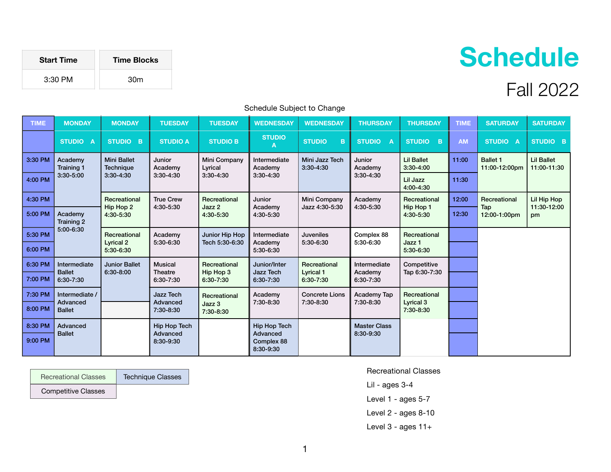| <b>Start Time</b> | <b>Time Blocks</b> |
|-------------------|--------------------|
| 3:30 PM           | 30 <sub>m</sub>    |
|                   |                    |

## Schedule Subject to Change

| <b>TIME</b> | <b>MONDAY</b>                             | <b>MONDAY</b>                                         | <b>TUESDAY</b>                         | <b>TUESDAY</b>                         | <b>WEDNESDAY</b>                                    | <b>WEDNESDAY</b>                              | <b>THURSDAY</b>                      | <b>THURSDAY</b>                                | <b>TIME</b> | <b>SATURDAY</b>                  | <b>SATURDAY</b>                  |
|-------------|-------------------------------------------|-------------------------------------------------------|----------------------------------------|----------------------------------------|-----------------------------------------------------|-----------------------------------------------|--------------------------------------|------------------------------------------------|-------------|----------------------------------|----------------------------------|
|             | STUDIO A                                  | STUDIO B                                              | <b>STUDIO A</b>                        | <b>STUDIO B</b>                        | <b>STUDIO</b><br>A                                  | <b>STUDIO</b><br>B                            | <b>STUDIO</b><br>$\overline{A}$      | STUDIO B                                       | <b>AM</b>   | STUDIO A                         | STUDIO B                         |
| 3:30 PM     | Academy<br><b>Training 1</b>              | <b>Mini Ballet</b><br><b>Technique</b><br>$3:30-4:30$ | Junior<br>Academy<br>$3:30-4:30$       | Mini Company<br>Lyrical<br>$3:30-4:30$ | Intermediate<br>Academy<br>$3:30-4:30$              | Mini Jazz Tech<br>$3:30 - 4:30$               | Junior<br>Academy<br>$3:30-4:30$     | <b>Lil Ballet</b><br>$3:30 - 4:00$             | 11:00       | <b>Ballet 1</b><br>11:00-12:00pm | <b>Lil Ballet</b><br>11:00-11:30 |
| 4:00 PM     | $3:30 - 5:00$                             |                                                       |                                        |                                        |                                                     |                                               |                                      | Lil Jazz<br>4:00-4:30                          | 11:30       |                                  |                                  |
| 4:30 PM     |                                           | Recreational<br>Hip Hop 2<br>4:30-5:30                | <b>True Crew</b><br>4:30-5:30          | Recreational<br>Jazz 2<br>4:30-5:30    | Junior<br>Academy<br>4:30-5:30                      | Mini Company<br>Jazz 4:30-5:30                | Academy<br>4:30-5:30                 | Recreational<br>Hip Hop 1<br>4:30-5:30         | 12:00       | Recreational                     | Lil Hip Hop<br>11:30-12:00       |
| 5:00 PM     | Academy<br><b>Training 2</b><br>5:00-6:30 |                                                       |                                        |                                        |                                                     |                                               |                                      |                                                | 12:30       | Tap<br>12:00-1:00pm              | pm                               |
| 5:30 PM     |                                           | Recreational<br><b>Lyrical 2</b><br>5:30-6:30         | Academy<br>5:30-6:30                   | Junior Hip Hop<br>Tech 5:30-6:30       | Intermediate<br>Academy<br>5:30-6:30                | <b>Juveniles</b><br>5:30-6:30                 | Complex 88<br>5:30-6:30              | Recreational<br>Jazz <sub>1</sub><br>5:30-6:30 |             |                                  |                                  |
| 6:00 PM     |                                           |                                                       |                                        |                                        |                                                     |                                               |                                      |                                                |             |                                  |                                  |
| 6:30 PM     | Intermediate<br><b>Ballet</b>             | <b>Junior Ballet</b><br>6:30-8:00                     | <b>Musical</b><br>Theatre<br>6:30-7:30 | Recreational<br>Hip Hop 3<br>6:30-7:30 | Junior/Inter<br>Jazz Tech<br>6:30-7:30              | Recreational<br><b>Lyrical 1</b><br>6:30-7:30 | Intermediate<br>Academy<br>6:30-7:30 | Competitive<br>Tap 6:30-7:30                   |             |                                  |                                  |
| 7:00 PM     | 6:30-7:30                                 |                                                       |                                        |                                        |                                                     |                                               |                                      |                                                |             |                                  |                                  |
| 7:30 PM     | Intermediate /                            |                                                       | Jazz Tech                              | Recreational<br>Jazz 3<br>7:30-8:30    | Academy<br>7:30-8:30                                | <b>Concrete Lions</b><br>7:30-8:30            | Academy Tap<br>7:30-8:30             | Recreational<br><b>Lyrical 3</b><br>7:30-8:30  |             |                                  |                                  |
| 8:00 PM     | Advanced<br><b>Ballet</b>                 |                                                       | Advanced<br>7:30-8:30                  |                                        |                                                     |                                               |                                      |                                                |             |                                  |                                  |
| 8:30 PM     | Advanced<br><b>Ballet</b>                 |                                                       | Hip Hop Tech<br>Advanced<br>8:30-9:30  |                                        | Hip Hop Tech<br>Advanced<br>Complex 88<br>8:30-9:30 |                                               | <b>Master Class</b><br>8:30-9:30     |                                                |             |                                  |                                  |
| 9:00 PM     |                                           |                                                       |                                        |                                        |                                                     |                                               |                                      |                                                |             |                                  |                                  |

Recreational Classes

Technique Classes

Competitive Classes

Recreational Classes

Lil - ages 3-4

Level 1 - ages 5-7

- Level 2 ages 8-10
- Level  $3$  ages  $11+$